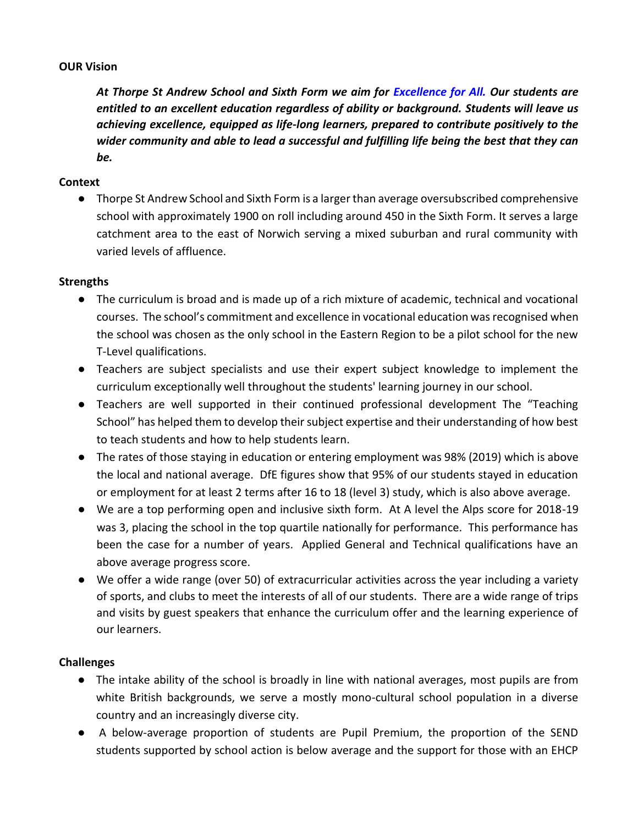#### **OUR Vision**

*At Thorpe St Andrew School and Sixth Form we aim for Excellence for All. Our students are entitled to an excellent education regardless of ability or background. Students will leave us achieving excellence, equipped as life-long learners, prepared to contribute positively to the wider community and able to lead a successful and fulfilling life being the best that they can be.* 

### **Context**

● Thorpe St Andrew School and Sixth Form is a larger than average oversubscribed comprehensive school with approximately 1900 on roll including around 450 in the Sixth Form. It serves a large catchment area to the east of Norwich serving a mixed suburban and rural community with varied levels of affluence.

### **Strengths**

- The curriculum is broad and is made up of a rich mixture of academic, technical and vocational courses. The school's commitment and excellence in vocational education was recognised when the school was chosen as the only school in the Eastern Region to be a pilot school for the new T-Level qualifications.
- Teachers are subject specialists and use their expert subject knowledge to implement the curriculum exceptionally well throughout the students' learning journey in our school.
- Teachers are well supported in their continued professional development The "Teaching School" has helped them to develop their subject expertise and their understanding of how best to teach students and how to help students learn.
- The rates of those staying in education or entering employment was 98% (2019) which is above the local and national average. DfE figures show that 95% of our students stayed in education or employment for at least 2 terms after 16 to 18 (level 3) study, which is also above average.
- We are a top performing open and inclusive sixth form. At A level the Alps score for 2018-19 was 3, placing the school in the top quartile nationally for performance. This performance has been the case for a number of years. Applied General and Technical qualifications have an above average progress score.
- We offer a wide range (over 50) of extracurricular activities across the year including a variety of sports, and clubs to meet the interests of all of our students. There are a wide range of trips and visits by guest speakers that enhance the curriculum offer and the learning experience of our learners.

# **Challenges**

- The intake ability of the school is broadly in line with national averages, most pupils are from white British backgrounds, we serve a mostly mono-cultural school population in a diverse country and an increasingly diverse city.
- A below-average proportion of students are Pupil Premium, the proportion of the SEND students supported by school action is below average and the support for those with an EHCP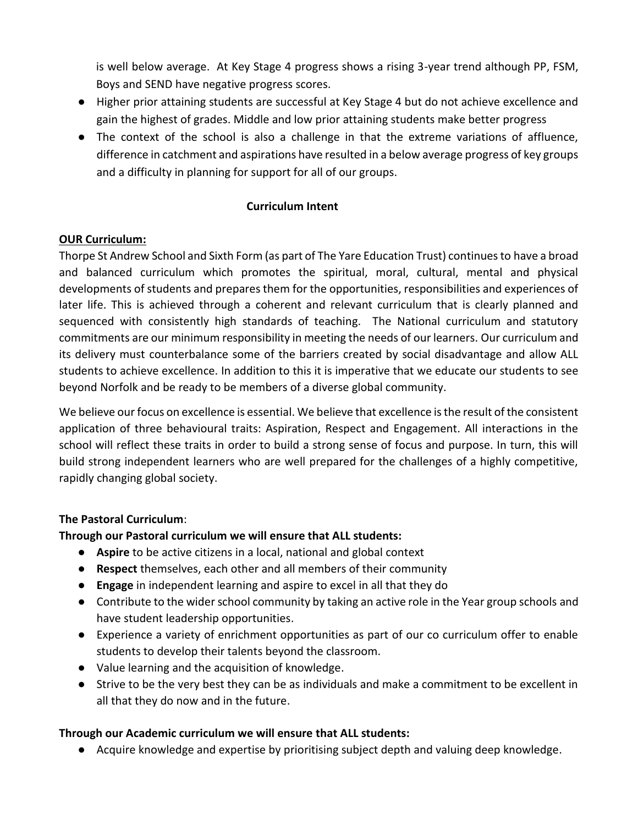is well below average. At Key Stage 4 progress shows a rising 3-year trend although PP, FSM, Boys and SEND have negative progress scores.

- Higher prior attaining students are successful at Key Stage 4 but do not achieve excellence and gain the highest of grades. Middle and low prior attaining students make better progress
- The context of the school is also a challenge in that the extreme variations of affluence, difference in catchment and aspirations have resulted in a below average progress of key groups and a difficulty in planning for support for all of our groups.

## **Curriculum Intent**

## **OUR Curriculum:**

Thorpe St Andrew School and Sixth Form (as part of The Yare Education Trust) continues to have a broad and balanced curriculum which promotes the spiritual, moral, cultural, mental and physical developments of students and prepares them for the opportunities, responsibilities and experiences of later life. This is achieved through a coherent and relevant curriculum that is clearly planned and sequenced with consistently high standards of teaching. The National curriculum and statutory commitments are our minimum responsibility in meeting the needs of our learners*.* Our curriculum and its delivery must counterbalance some of the barriers created by social disadvantage and allow ALL students to achieve excellence. In addition to this it is imperative that we educate our students to see beyond Norfolk and be ready to be members of a diverse global community.

We believe our focus on excellence is essential. We believe that excellence is the result of the consistent application of three behavioural traits: Aspiration, Respect and Engagement. All interactions in the school will reflect these traits in order to build a strong sense of focus and purpose. In turn, this will build strong independent learners who are well prepared for the challenges of a highly competitive, rapidly changing global society.

### **The Pastoral Curriculum**:

### **Through our Pastoral curriculum we will ensure that ALL students:**

- **Aspire** to be active citizens in a local, national and global context
- **Respect** themselves, each other and all members of their community
- **Engage** in independent learning and aspire to excel in all that they do
- Contribute to the wider school community by taking an active role in the Year group schools and have student leadership opportunities.
- Experience a variety of enrichment opportunities as part of our co curriculum offer to enable students to develop their talents beyond the classroom.
- Value learning and the acquisition of knowledge.
- Strive to be the very best they can be as individuals and make a commitment to be excellent in all that they do now and in the future.

# **Through our Academic curriculum we will ensure that ALL students:**

● Acquire knowledge and expertise by prioritising subject depth and valuing deep knowledge.